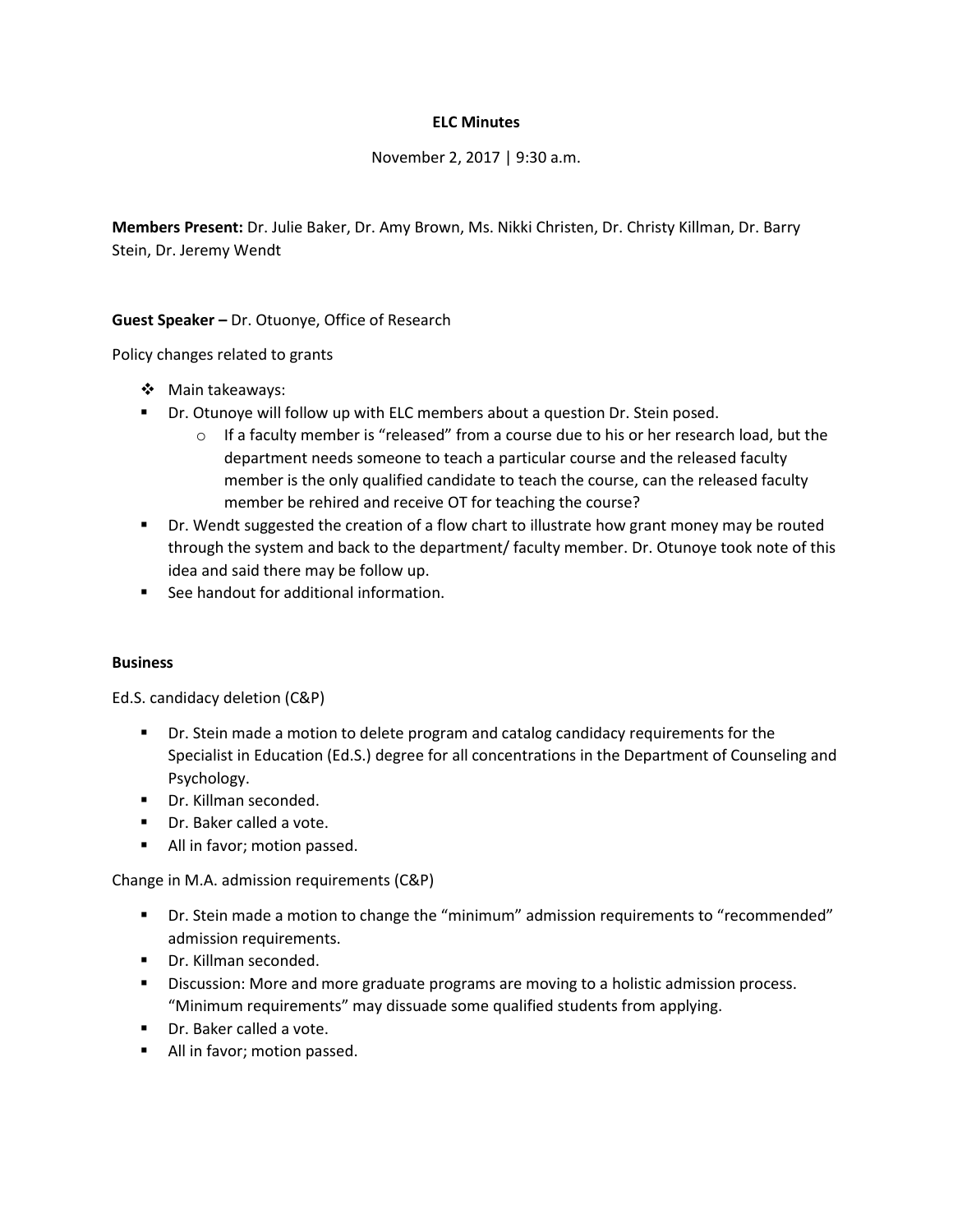## **ELC Minutes**

November 2, 2017 | 9:30 a.m.

**Members Present:** Dr. Julie Baker, Dr. Amy Brown, Ms. Nikki Christen, Dr. Christy Killman, Dr. Barry Stein, Dr. Jeremy Wendt

**Guest Speaker –** Dr. Otuonye, Office of Research

Policy changes related to grants

- Main takeaways:
- **•** Dr. Otunoye will follow up with ELC members about a question Dr. Stein posed.
	- $\circ$  If a faculty member is "released" from a course due to his or her research load, but the department needs someone to teach a particular course and the released faculty member is the only qualified candidate to teach the course, can the released faculty member be rehired and receive OT for teaching the course?
- Dr. Wendt suggested the creation of a flow chart to illustrate how grant money may be routed through the system and back to the department/ faculty member. Dr. Otunoye took note of this idea and said there may be follow up.
- See handout for additional information.

## **Business**

Ed.S. candidacy deletion (C&P)

- **Dr.** Stein made a motion to delete program and catalog candidacy requirements for the Specialist in Education (Ed.S.) degree for all concentrations in the Department of Counseling and Psychology.
- **•** Dr. Killman seconded.
- Dr. Baker called a vote.
- **All in favor; motion passed.**

Change in M.A. admission requirements (C&P)

- Dr. Stein made a motion to change the "minimum" admission requirements to "recommended" admission requirements.
- Dr. Killman seconded.
- **Discussion: More and more graduate programs are moving to a holistic admission process.** "Minimum requirements" may dissuade some qualified students from applying.
- **Dr.** Baker called a vote.
- All in favor; motion passed.